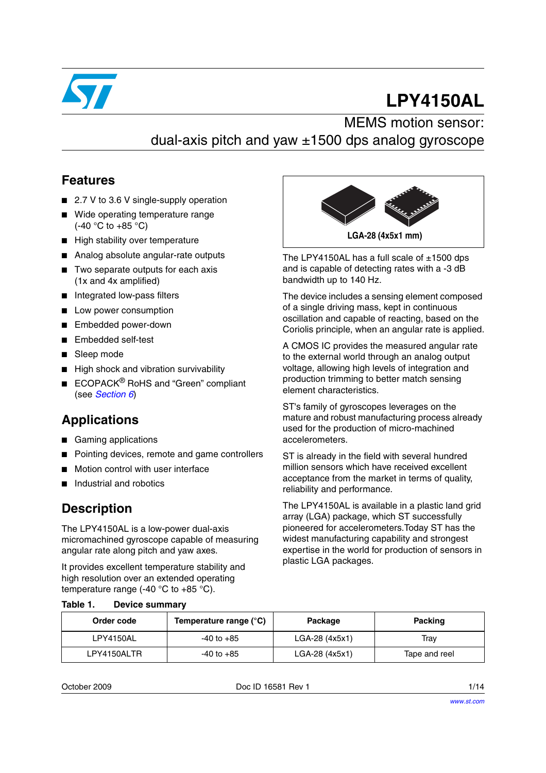

# **LPY4150AL**

### MEMS motion sensor: dual-axis pitch and yaw  $\pm$ 1500 dps analog gyroscope

#### **Features**

- 2.7 V to 3.6 V single-supply operation
- Wide operating temperature range (-40 °C to +85 °C)
- High stability over temperature
- Analog absolute angular-rate outputs
- Two separate outputs for each axis (1x and 4x amplified)
- Integrated low-pass filters
- Low power consumption
- Embedded power-down
- Embedded self-test
- Sleep mode
- High shock and vibration survivability
- ECOPACK<sup>®</sup> RoHS and "Green" compliant (see *[Section 6](#page-11-0)*)

#### **Applications**

- Gaming applications
- Pointing devices, remote and game controllers
- Motion control with user interface
- Industrial and robotics

#### **Description**

The LPY4150AL is a low-power dual-axis micromachined gyroscope capable of measuring angular rate along pitch and yaw axes.

It provides excellent temperature stability and high resolution over an extended operating temperature range (-40  $^{\circ}$ C to +85  $^{\circ}$ C).



The LPY4150AL has a full scale of  $±1500$  dps and is capable of detecting rates with a -3 dB bandwidth up to 140 Hz.

The device includes a sensing element composed of a single driving mass, kept in continuous oscillation and capable of reacting, based on the Coriolis principle, when an angular rate is applied.

A CMOS IC provides the measured angular rate to the external world through an analog output voltage, allowing high levels of integration and production trimming to better match sensing element characteristics.

ST's family of gyroscopes leverages on the mature and robust manufacturing process already used for the production of micro-machined accelerometers.

ST is already in the field with several hundred million sensors which have received excellent acceptance from the market in terms of quality, reliability and performance.

The LPY4150AL is available in a plastic land grid array (LGA) package, which ST successfully pioneered for accelerometers.Today ST has the widest manufacturing capability and strongest expertise in the world for production of sensors in plastic LGA packages.

| Order code  | Temperature range (°C) | Package          | <b>Packing</b> |
|-------------|------------------------|------------------|----------------|
| LPY4150AL   | -40 to +85             | $LGA-28(4x5x1)$  | Trav           |
| LPY4150ALTR | $-40$ to $+85$         | $LGA-28 (4x5x1)$ | Tape and reel  |

#### **Table 1. Device summary**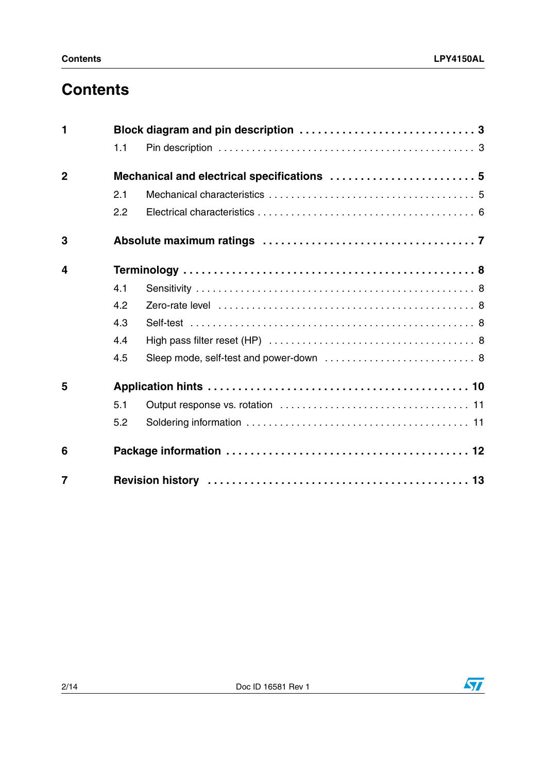## **Contents**

| 1                       |     |                                             |
|-------------------------|-----|---------------------------------------------|
|                         | 1.1 |                                             |
| $\overline{2}$          |     | Mechanical and electrical specifications  5 |
|                         | 2.1 |                                             |
|                         | 2.2 |                                             |
| 3                       |     |                                             |
| $\overline{\mathbf{4}}$ |     |                                             |
|                         | 4.1 |                                             |
|                         | 4.2 |                                             |
|                         | 4.3 |                                             |
|                         | 4.4 |                                             |
|                         | 4.5 |                                             |
| 5                       |     |                                             |
|                         | 5.1 |                                             |
|                         | 5.2 |                                             |
| 6                       |     |                                             |
| $\overline{7}$          |     |                                             |

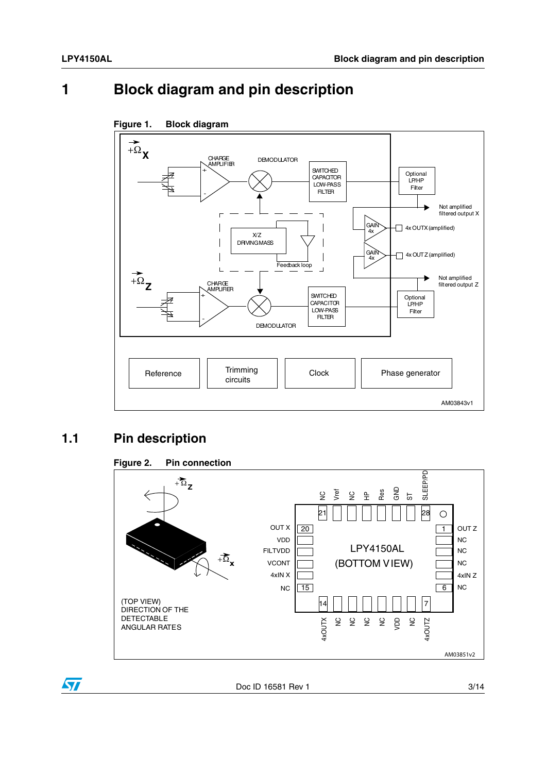### <span id="page-2-0"></span>**1 Block diagram and pin description**



#### **Figure 1. Block diagram**

#### <span id="page-2-1"></span>**1.1 Pin description**



ST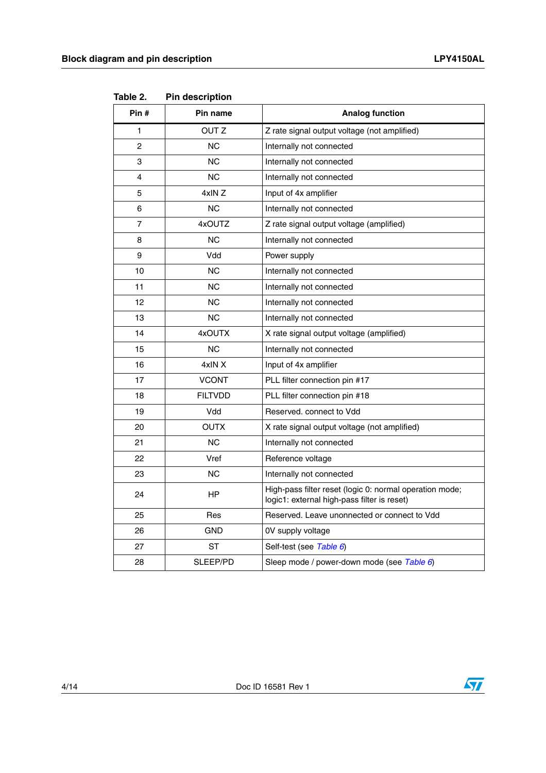| Pin # | Pin name       | <b>Analog function</b>                                                                                 |  |
|-------|----------------|--------------------------------------------------------------------------------------------------------|--|
| 1     | OUT Z          | Z rate signal output voltage (not amplified)                                                           |  |
| 2     | <b>NC</b>      | Internally not connected                                                                               |  |
| 3     | ΝC             | Internally not connected                                                                               |  |
| 4     | <b>NC</b>      | Internally not connected                                                                               |  |
| 5     | 4xIN Z         | Input of 4x amplifier                                                                                  |  |
| 6     | <b>NC</b>      | Internally not connected                                                                               |  |
| 7     | 4xOUTZ         | Z rate signal output voltage (amplified)                                                               |  |
| 8     | ΝC             | Internally not connected                                                                               |  |
| 9     | Vdd            | Power supply                                                                                           |  |
| 10    | NC             | Internally not connected                                                                               |  |
| 11    | <b>NC</b>      | Internally not connected                                                                               |  |
| 12    | NС             | Internally not connected                                                                               |  |
| 13    | ΝC             | Internally not connected                                                                               |  |
| 14    | 4xOUTX         | X rate signal output voltage (amplified)                                                               |  |
| 15    | <b>NC</b>      | Internally not connected                                                                               |  |
| 16    | 4xIN X         | Input of 4x amplifier                                                                                  |  |
| 17    | <b>VCONT</b>   | PLL filter connection pin #17                                                                          |  |
| 18    | <b>FILTVDD</b> | PLL filter connection pin #18                                                                          |  |
| 19    | Vdd            | Reserved, connect to Vdd                                                                               |  |
| 20    | <b>OUTX</b>    | X rate signal output voltage (not amplified)                                                           |  |
| 21    | <b>NC</b>      | Internally not connected                                                                               |  |
| 22    | Vref           | Reference voltage                                                                                      |  |
| 23    | <b>NC</b>      | Internally not connected                                                                               |  |
| 24    | ΗP             | High-pass filter reset (logic 0: normal operation mode;<br>logic1: external high-pass filter is reset) |  |
| 25    | Res            | Reserved. Leave unonnected or connect to Vdd                                                           |  |
| 26    | <b>GND</b>     | 0V supply voltage                                                                                      |  |
| 27    | SТ             | Self-test (see Table 6)                                                                                |  |
| 28    | SLEEP/PD       | Sleep mode / power-down mode (see Table 6)                                                             |  |

**Table 2. Pin description**



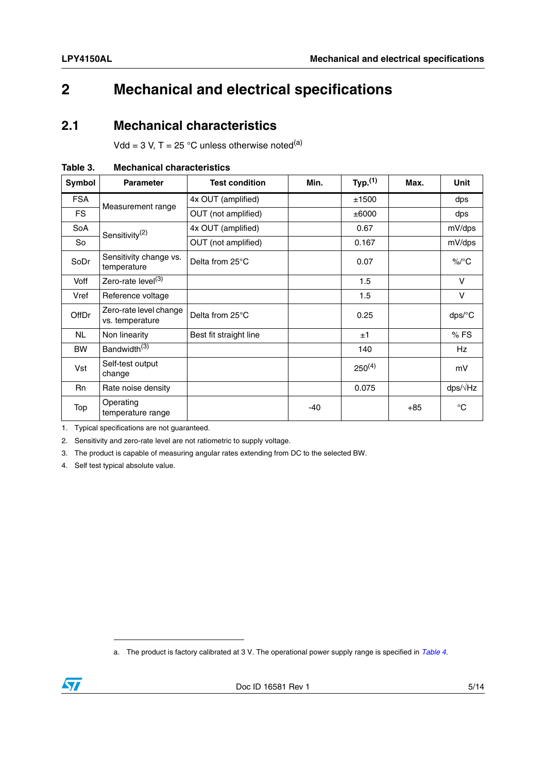### <span id="page-4-0"></span>**2 Mechanical and electrical specifications**

#### <span id="page-4-1"></span>**2.1 Mechanical characteristics**

Vdd = 3 V, T = 25 °C unless otherwise noted<sup>(a)</sup>

| Symbol       | <b>Parameter</b>                          | <b>Test condition</b>  | Min.  | Typ. <sup>(1)</sup> | Max.  | <b>Unit</b>          |
|--------------|-------------------------------------------|------------------------|-------|---------------------|-------|----------------------|
| <b>FSA</b>   | Measurement range                         | 4x OUT (amplified)     |       | ±1500               |       | dps                  |
| FS.          |                                           | OUT (not amplified)    |       | ±6000               |       | dps                  |
| SoA          | Sensitivity <sup>(2)</sup>                | 4x OUT (amplified)     |       | 0.67                |       | mV/dps               |
| So           |                                           | OUT (not amplified)    |       | 0.167               |       | mV/dps               |
| SoDr         | Sensitivity change vs.<br>temperature     | Delta from 25°C        |       | 0.07                |       | %/°C                 |
| Voff         | Zero-rate level <sup>(3)</sup>            |                        |       | 1.5                 |       | $\mathsf{V}$         |
| Vref         | Reference voltage                         |                        |       | 1.5                 |       | $\vee$               |
| <b>OffDr</b> | Zero-rate level change<br>vs. temperature | Delta from 25°C        |       | 0.25                |       | $dps$ <sup>o</sup> C |
| <b>NL</b>    | Non linearity                             | Best fit straight line |       | ±1                  |       | %FS                  |
| <b>BW</b>    | Bandwidth <sup>(3)</sup>                  |                        |       | 140                 |       | Hz                   |
| Vst          | Self-test output<br>change                |                        |       | $250^{(4)}$         |       | mV                   |
| <b>Rn</b>    | Rate noise density                        |                        |       | 0.075               |       | $\frac{dp}{dx}$      |
| Top          | Operating<br>temperature range            |                        | $-40$ |                     | $+85$ | $^{\circ}C$          |

<span id="page-4-2"></span>

| <b>Mechanical characteristics</b><br>Table 3. |
|-----------------------------------------------|
|-----------------------------------------------|

1. Typical specifications are not guaranteed.

2. Sensitivity and zero-rate level are not ratiometric to supply voltage.

3. The product is capable of measuring angular rates extending from DC to the selected BW.

4. Self test typical absolute value.

a. The product is factory calibrated at 3 V. The operational power supply range is specified in *[Table 4](#page-5-1)*.

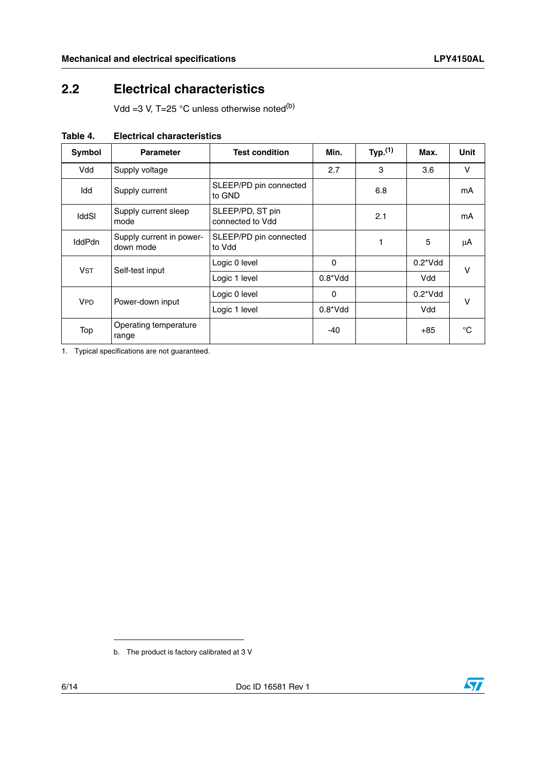### <span id="page-5-0"></span>**2.2 Electrical characteristics**

Vdd =3 V, T=25  $^{\circ}$ C unless otherwise noted<sup>(b)</sup>

| Symbol        | <b>Parameter</b>                      | <b>Test condition</b>                | Min.        | Typ. $(1)$ | Max.        | <b>Unit</b> |
|---------------|---------------------------------------|--------------------------------------|-------------|------------|-------------|-------------|
| Vdd           | Supply voltage                        |                                      | 2.7         | 3          | 3.6         | v           |
| Idd           | Supply current                        | SLEEP/PD pin connected<br>to GND     |             | 6.8        |             | mA          |
| <b>IddSI</b>  | Supply current sleep<br>mode          | SLEEP/PD, ST pin<br>connected to Vdd |             | 2.1        |             | mA          |
| <b>IddPdn</b> | Supply current in power-<br>down mode | SLEEP/PD pin connected<br>to Vdd     |             |            | 5           | μA          |
| <b>VST</b>    | Self-test input                       | Logic 0 level                        | 0           |            | $0.2^*V$ dd | v           |
|               |                                       | Logic 1 level                        | $0.8^*V$ dd |            | Vdd         |             |
| <b>VPD</b>    | Power-down input                      | Logic 0 level                        | 0           |            | $0.2^*V$ dd | v           |
|               |                                       | Logic 1 level                        | $0.8^*V$ dd |            | Vdd         |             |
| Top           | Operating temperature<br>range        |                                      | -40         |            | $+85$       | °C          |

<span id="page-5-1"></span>**Table 4. Electrical characteristics**

1. Typical specifications are not guaranteed.

b. The product is factory calibrated at 3 V

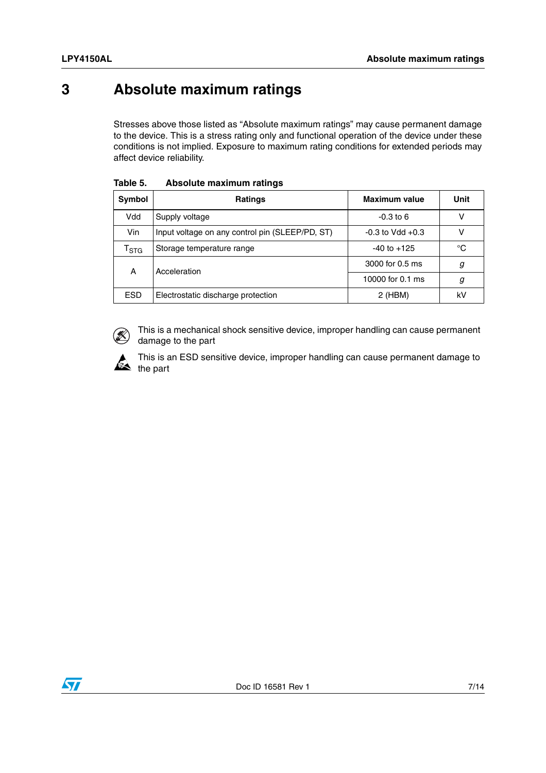### <span id="page-6-0"></span>**3 Absolute maximum ratings**

Stresses above those listed as "Absolute maximum ratings" may cause permanent damage to the device. This is a stress rating only and functional operation of the device under these conditions is not implied. Exposure to maximum rating conditions for extended periods may affect device reliability.

| Symbol                      | <b>Ratings</b>                                  | <b>Maximum value</b> | Unit |
|-----------------------------|-------------------------------------------------|----------------------|------|
| Vdd                         | Supply voltage                                  | $-0.3$ to 6          | ν    |
| Vin                         | Input voltage on any control pin (SLEEP/PD, ST) | $-0.3$ to Vdd $+0.3$ | v    |
| $\mathsf{T}_{\textsf{STG}}$ | Storage temperature range                       | $-40$ to $+125$      | °C   |
| Α                           | Acceleration                                    | 3000 for 0.5 ms      | g    |
|                             |                                                 | 10000 for 0.1 ms     | g    |
| <b>ESD</b>                  | Electrostatic discharge protection              | 2 (HBM)              | kV   |

**Table 5. Absolute maximum ratings**



This is a mechanical shock sensitive device, improper handling can cause permanent damage to the part



This is an ESD sensitive device, improper handling can cause permanent damage to the part

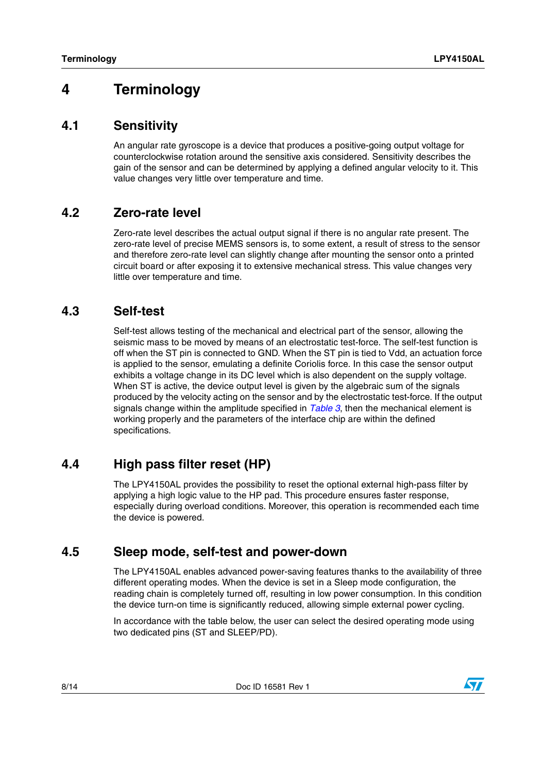### <span id="page-7-0"></span>**4 Terminology**

#### <span id="page-7-1"></span>**4.1 Sensitivity**

An angular rate gyroscope is a device that produces a positive-going output voltage for counterclockwise rotation around the sensitive axis considered. Sensitivity describes the gain of the sensor and can be determined by applying a defined angular velocity to it. This value changes very little over temperature and time.

#### <span id="page-7-2"></span>**4.2 Zero-rate level**

Zero-rate level describes the actual output signal if there is no angular rate present. The zero-rate level of precise MEMS sensors is, to some extent, a result of stress to the sensor and therefore zero-rate level can slightly change after mounting the sensor onto a printed circuit board or after exposing it to extensive mechanical stress. This value changes very little over temperature and time.

#### <span id="page-7-3"></span>**4.3 Self-test**

Self-test allows testing of the mechanical and electrical part of the sensor, allowing the seismic mass to be moved by means of an electrostatic test-force. The self-test function is off when the ST pin is connected to GND. When the ST pin is tied to Vdd, an actuation force is applied to the sensor, emulating a definite Coriolis force. In this case the sensor output exhibits a voltage change in its DC level which is also dependent on the supply voltage. When ST is active, the device output level is given by the algebraic sum of the signals produced by the velocity acting on the sensor and by the electrostatic test-force. If the output signals change within the amplitude specified in *[Table 3](#page-4-2)*, then the mechanical element is working properly and the parameters of the interface chip are within the defined specifications.

#### <span id="page-7-4"></span>**4.4 High pass filter reset (HP)**

The LPY4150AL provides the possibility to reset the optional external high-pass filter by applying a high logic value to the HP pad. This procedure ensures faster response, especially during overload conditions. Moreover, this operation is recommended each time the device is powered.

#### <span id="page-7-5"></span>**4.5 Sleep mode, self-test and power-down**

The LPY4150AL enables advanced power-saving features thanks to the availability of three different operating modes. When the device is set in a Sleep mode configuration, the reading chain is completely turned off, resulting in low power consumption. In this condition the device turn-on time is significantly reduced, allowing simple external power cycling.

In accordance with the table below, the user can select the desired operating mode using two dedicated pins (ST and SLEEP/PD).

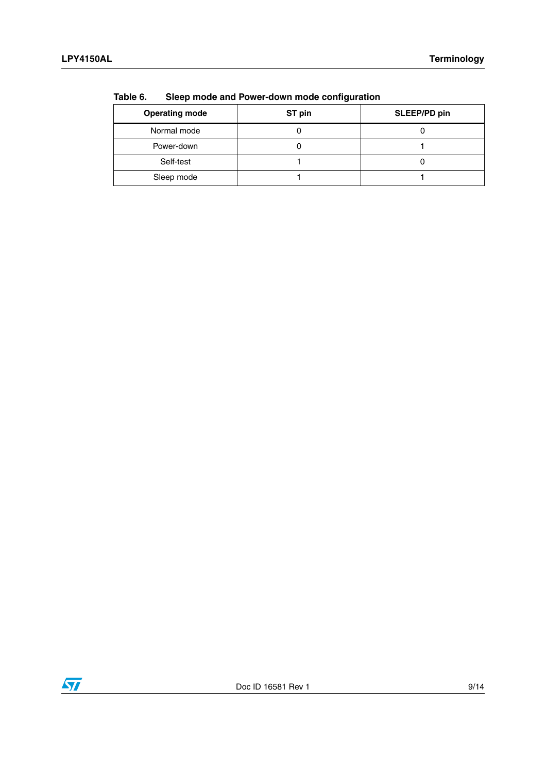|                       | $\sim$ |              |
|-----------------------|--------|--------------|
| <b>Operating mode</b> | ST pin | SLEEP/PD pin |
| Normal mode           |        |              |
| Power-down            |        |              |
| Self-test             |        |              |
| Sleep mode            |        |              |

<span id="page-8-0"></span>**Table 6. Sleep mode and Power-down mode configuration**

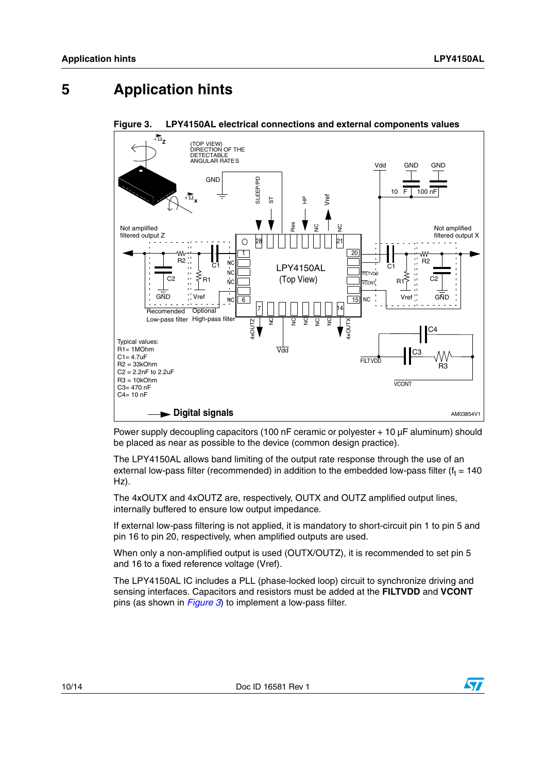### <span id="page-9-0"></span>**5 Application hints**



<span id="page-9-1"></span>**Figure 3. LPY4150AL electrical connections and external components values**

Power supply decoupling capacitors (100 nF ceramic or polyester + 10 µF aluminum) should be placed as near as possible to the device (common design practice).

The LPY4150AL allows band limiting of the output rate response through the use of an external low-pass filter (recommended) in addition to the embedded low-pass filter (f $_{\rm t}$  = 140 Hz).

The 4xOUTX and 4xOUTZ are, respectively, OUTX and OUTZ amplified output lines, internally buffered to ensure low output impedance.

If external low-pass filtering is not applied, it is mandatory to short-circuit pin 1 to pin 5 and pin 16 to pin 20, respectively, when amplified outputs are used.

When only a non-amplified output is used (OUTX/OUTZ), it is recommended to set pin 5 and 16 to a fixed reference voltage (Vref).

The LPY4150AL IC includes a PLL (phase-locked loop) circuit to synchronize driving and sensing interfaces. Capacitors and resistors must be added at the **FILTVDD** and **VCONT** pins (as shown in *[Figure 3](#page-9-1)*) to implement a low-pass filter.

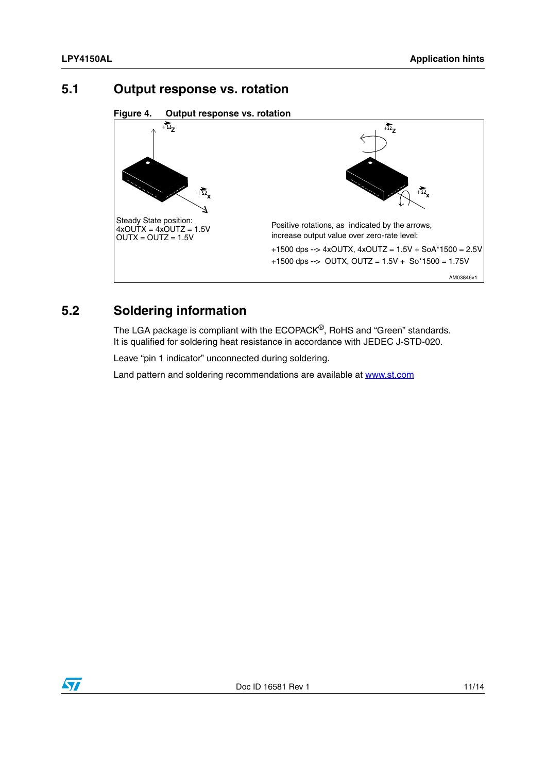#### <span id="page-10-0"></span>**5.1 Output response vs. rotation**

**Figure 4. Output response vs. rotation**



### <span id="page-10-1"></span>**5.2 Soldering information**

The LGA package is compliant with the ECOPACK®, RoHS and "Green" standards. It is qualified for soldering heat resistance in accordance with JEDEC J-STD-020.

Leave "pin 1 indicator" unconnected during soldering.

Land pattern and soldering recommendations are available at www.st.com

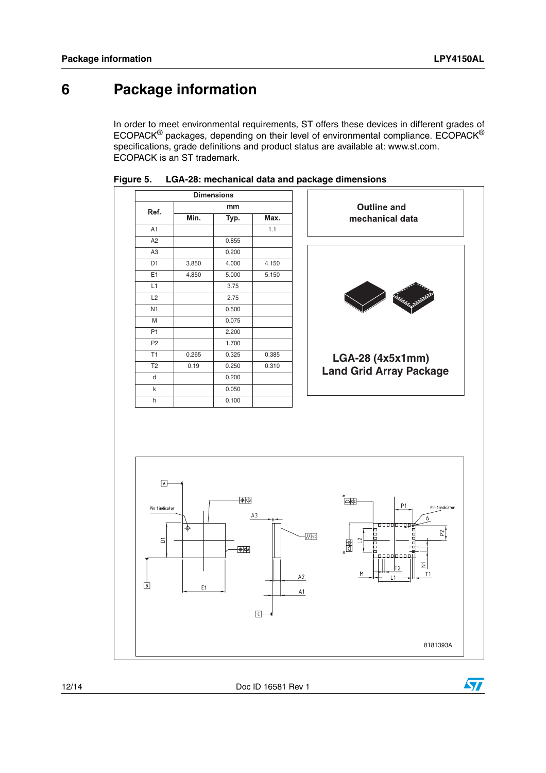### <span id="page-11-0"></span>**6 Package information**

In order to meet environmental requirements, ST offers these devices in different grades of ECOPACK® packages, depending on their level of environmental compliance. ECOPACK® specifications, grade definitions and product status are available at: www.st.com. ECOPACK is an ST trademark.



#### **Figure 5. LGA-28: mechanical data and package dimensions**



12/14 Doc ID 16581 Rev 1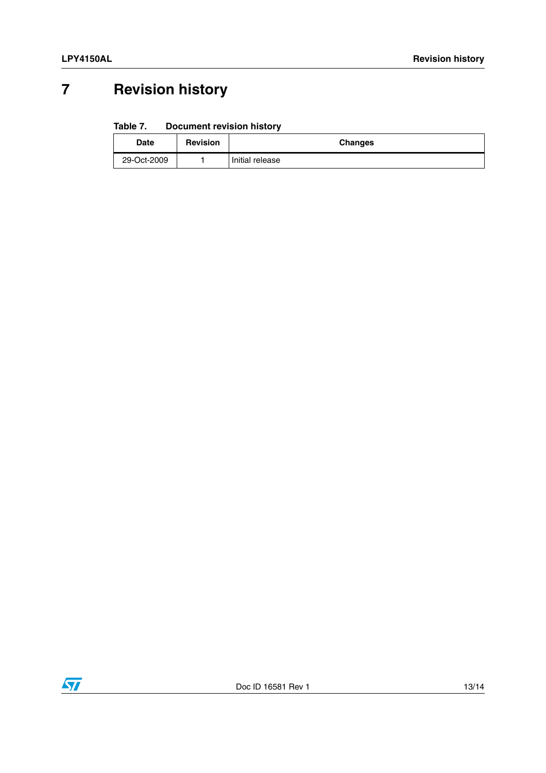## <span id="page-12-0"></span>**7 Revision history**

#### Table 7. **Document revision history**

| Date        | <b>Revision</b> | <b>Changes</b>  |
|-------------|-----------------|-----------------|
| 29-Oct-2009 |                 | Initial release |